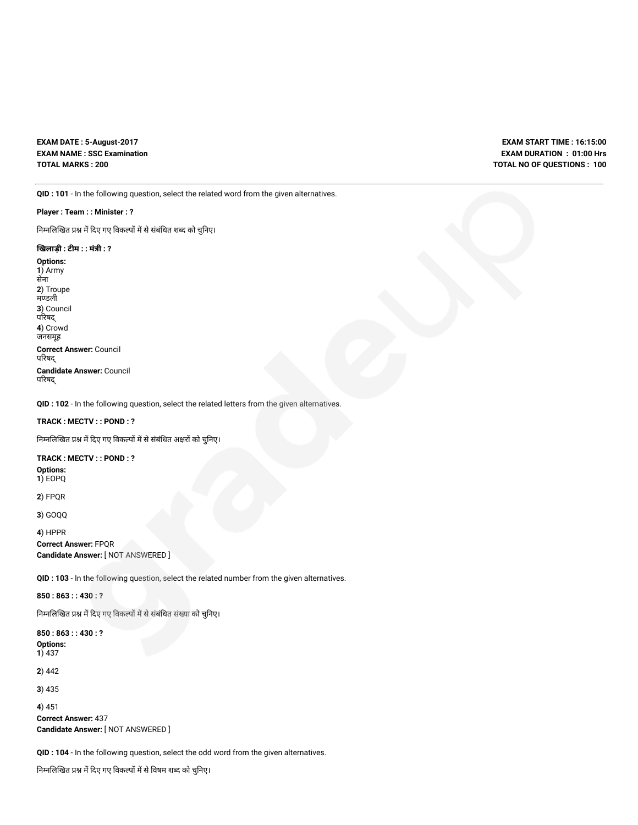**EXAM DATE : 5-August-2017 EXAM NAME : SSC Examination TOTAL MARKS : 200**

**EXAM START TIME : 16:15:00 EXAM DURATION : 01:00 Hrs TOTAL NO OF QUESTIONS : 100**

**QID : 101** - In the following question, select the related word from the given alternatives.

#### **Player : Team : : Minister : ?**

निम्नलिखित प्रश्न में दिए गए विकल्पों में से संबंधित शब्द को चुनिए।

#### **खलाड़ी : टम : : मंी : ?**

**Options: 1**) Army सेना **2**) Troupe मडली **3**) Council परषद् **4**) Crowd जनसमूह **Correct Answer:** Council परषद् **Candidate Answer:** Council परषद्

**QID : 102** - In the following question, select the related letters from the given alternatives.

#### **TRACK : MECTV : : POND : ?**

निम्नलिखित प्रश्न में दिए गए विकल्पों में से संबंधित अक्षरों को चुनिए।

#### **TRACK : MECTV : : POND : ?**

**Options: 1**) EOPQ

**2**) FPQR

**3**) GOQQ

```
4) HPPR
Correct Answer: FPQR
Candidate Answer: [ NOT ANSWERED ]
```
**QID : 103** - In the following question, select the related number from the given alternatives.

**850 : 863 : : 430 : ?**

निम्नलिखित प्रश्न में दिए गए विकल्पों में से संबंधित संख्या को चुनिए।

**850 : 863 : : 430 : ? Options:**

**1**) 437

**2**) 442

**3**) 435

**4**) 451

**Correct Answer:** 437 **Candidate Answer:** [ NOT ANSWERED ]

**QID : 104** - In the following question, select the odd word from the given alternatives.

निम्नलिखित प्रश्न में दिए गए विकल्पों में से विषम शब्द को चुनिए।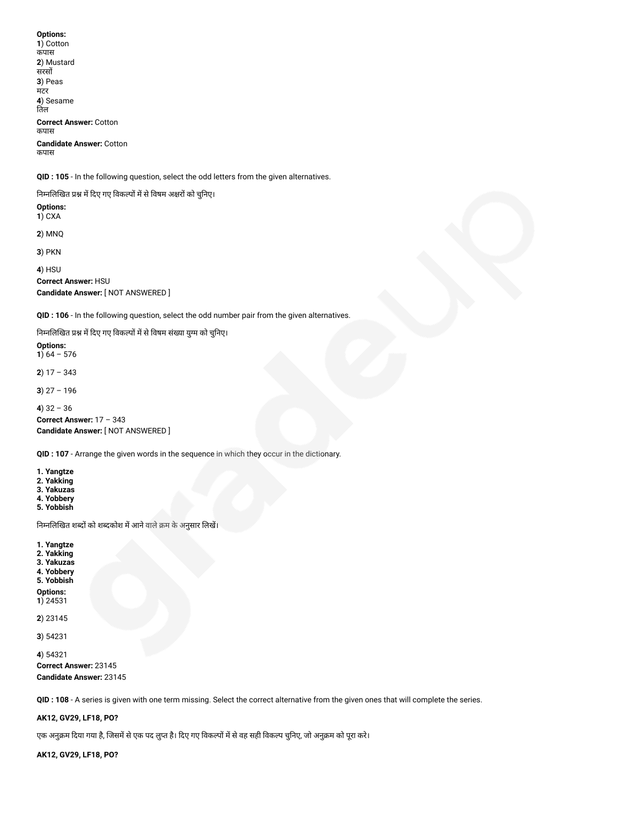**Options: 1**) Cotton कपास **2**) Mustard सरस **3**) Peas मटर **4**) Sesame तिल **Correct Answer:** Cotton कपास **Candidate Answer:** Cotton कपास

**QID : 105** - In the following question, select the odd letters from the given alternatives.

निम्नलिखित प्रश्न में दिए गए विकल्पों में से विषम अक्षरों को चुनिए।

**Options: 1**) CXA

**2**) MNQ

**3**) PKN

**4**) HSU **Correct Answer:** HSU **Candidate Answer:** [ NOT ANSWERED ]

**QID : 106** - In the following question, select the odd number pair from the given alternatives.

निम्नलिखित प्रश्न में दिए गए विकल्पों में से विषम संख्या युग्म को चुनिए।

**Options: 1**)  $64 - 576$ 

**2**) 17 – 343

**3**) 27 – 196

**4**) 32 – 36

**Correct Answer:** 17 – 343 **Candidate Answer:** [ NOT ANSWERED ]

**QID : 107** - Arrange the given words in the sequence in which they occur in the dictionary.

**1. Yangtze**

**2. Yakking**

**3. Yakuzas 4. Yobbery**

**5. Yobbish**

निम्नलिखित शब्दों को शब्दकोश में आने वाले क्रम के अनुसार लिखें।

**1. Yangtze**

**2. Yakking**

**3. Yakuzas 4. Yobbery**

**5. Yobbish**

**Options:**

**1**) 24531

**2**) 23145

**3**) 54231

**4**) 54321 **Correct Answer:** 23145 **Candidate Answer:** 23145

**QID : 108** - A series is given with one term missing. Select the correct alternative from the given ones that will complete the series.

**AK12, GV29, LF18, PO?**

एक अनुक्रम दिया गया है, जिसमें से एक पद लुप्त है। दिए गए विकल्पों में से वह सही विकल्प चुनिए, जो अनुक्रम को पूरा करे।

**AK12, GV29, LF18, PO?**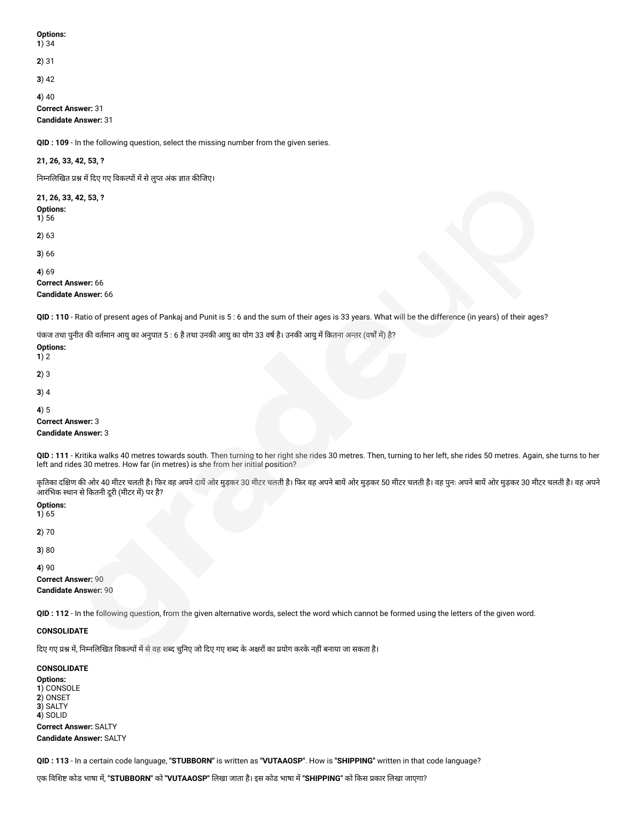**Options: 1**) 34

## **2**) 31

**3**) 42

**4**) 40

**Correct Answer:** 31 **Candidate Answer:** 31

**QID : 109** - In the following question, select the missing number from the given series.

## **21, 26, 33, 42, 53, ?**

निम्नलिखित प्रश्न में दिए गए विकल्पों में से लुप्त अंक ज्ञात कीजिए।

## **21, 26, 33, 42, 53, ?**

**Options:**

**1**) 56

**2**) 63

**3**) 66

**4**) 69

#### **Correct Answer:** 66 **Candidate Answer:** 66

**QID : 110** - Ratio of present ages of Pankaj and Punit is 5 : 6 and the sum of their ages is 33 years. What will be the difference (in years) of their ages?

पंकज तथा पुनीत की वर्तमान आयु का अनुपात 5 : 6 है तथा उनकी आयु का योग 33 वर्ष है। उनकी आयु में कितना अन्तर (वर्षों में) है?

### **Options: 1**) 2

**2**) 3

**3**) 4

**4**) 5

## **Correct Answer:** 3

**Candidate Answer:** 3

**QID : 111** - Kritika walks 40 metres towards south. Then turning to her right she rides 30 metres. Then, turning to her left, she rides 50 metres. Again, she turns to her left and rides 30 metres. How far (in metres) is she from her initial position?

कृतिका दक्षिण की ओर 40 मीटर चलती है। फिर वह अपने दायें ओर मुड़कर मुजर को आर मुड़कर मानि है। वह उन कर अपने बायें और मुड़कर 30 मीटर चलती है। वह अपने बायें ओर मुड़कर 30 मीटर चलती है। वह अपने आरंभिक स्थान से कितनी दूरी (मीटर में) पर है?

| <b>Options:</b> |  |
|-----------------|--|
| 1) 65           |  |

**2**) 70

**3**) 80

### **4**) 90

**Correct Answer:** 90 **Candidate Answer:** 90

**QID : 112** - In the following question, from the given alternative words, select the word which cannot be formed using the letters of the given word.

### **CONSOLIDATE**

दिए गए प्रश्न में, निम्नलिखित विकल्पों में से वह शब्द चुनिए जो दिए गए शब्द के अक्षरों का प्रयोग करके नहीं बनाया जा सकता है।

## **CONSOLIDATE**

**Options: 1**) CONSOLE **2**) ONSET **3**) SALTY **4**) SOLID **Correct Answer:** SALTY **Candidate Answer:** SALTY

**QID : 113** - In a certain code language, **"STUBBORN"** is written as **"VUTAAOSP"**. How is **"SHIPPING"** written in that code language?

एक वश कोड भाषा म, **"STUBBORN"** को **"VUTAAOSP"** लखा जाता है। इस कोड भाषा म**"SHIPPING"** को कस कार लखा जाएगा?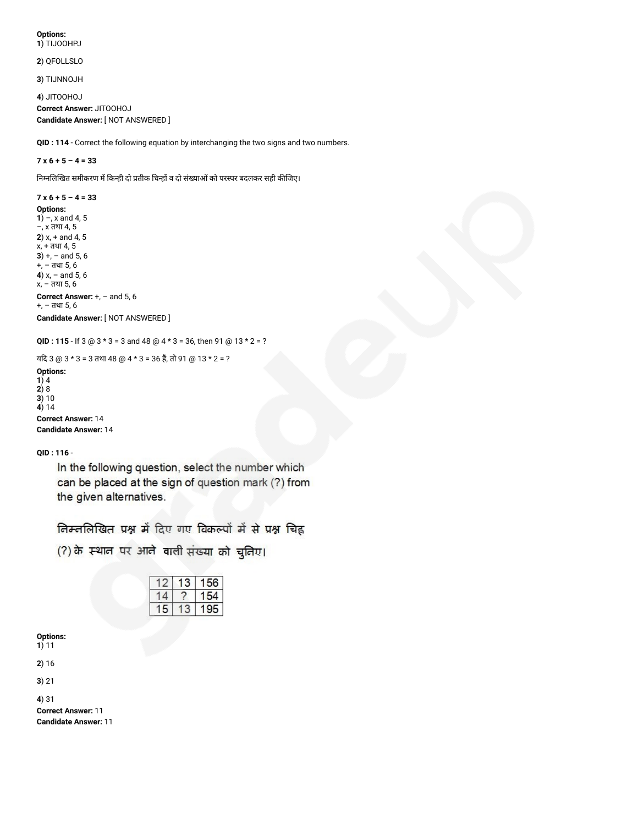#### **Options: 1**) TIJOOHPJ

**2**) QFOLLSLO

**3**) TIJNNOJH

**4**) JITOOHOJ **Correct Answer:** JITOOHOJ **Candidate Answer:** [ NOT ANSWERED ]

**QID : 114** - Correct the following equation by interchanging the two signs and two numbers.

## **7 x 6 + 5 – 4 = 33**

निम्नलिखित समीकरण में किन्ही दो प्रतीक चिन्हों व दो संख्याओं को परस्पर बदलकर सही कीजिए।

### **7 x 6 + 5 – 4 = 33**

```
Options:
```
**1**) –, x and 4, 5 –, x तथा 4, 5 **2**) x, + and 4, 5 x, + तथा 4, 5 **3**) +, – and 5, 6 +, – तथा 5, 6 **4**) x, – and 5, 6 x, – तथा 5, 6 **Correct Answer:** +, – and 5, 6 +, – तथा 5, 6 **Candidate Answer:** [ NOT ANSWERED ]

```
QID : 115 - If 3 @ 3 * 3 = 3 and 48 @ 4 * 3 = 36, then 91 @ 13 * 2 = ?
```
यदि 3 @ 3 \* 3 = 3 तथा 48 @ 4 \* 3 = 36 हैं, तो 91 @ 13 \* 2 = ? **Options: 1**) 4 **2**) 8 **3**) 10 **4**) 14 **Correct Answer:** 14 **Candidate Answer:** 14

**QID : 116** -

In the following question, select the number which can be placed at the sign of question mark (?) from the given alternatives.

तिम्ललिखित प्रश्न में दिए गए विकल्पों में से प्रश्न चिह्न

(?) के स्थान पर आने वाली संख्या को चुनिए।

|  | ٠ |
|--|---|
|  |   |
|  |   |

**Options: 1**) 11

**2**) 16

**3**) 21

**4**) 31 **Correct Answer:** 11

**Candidate Answer:** 11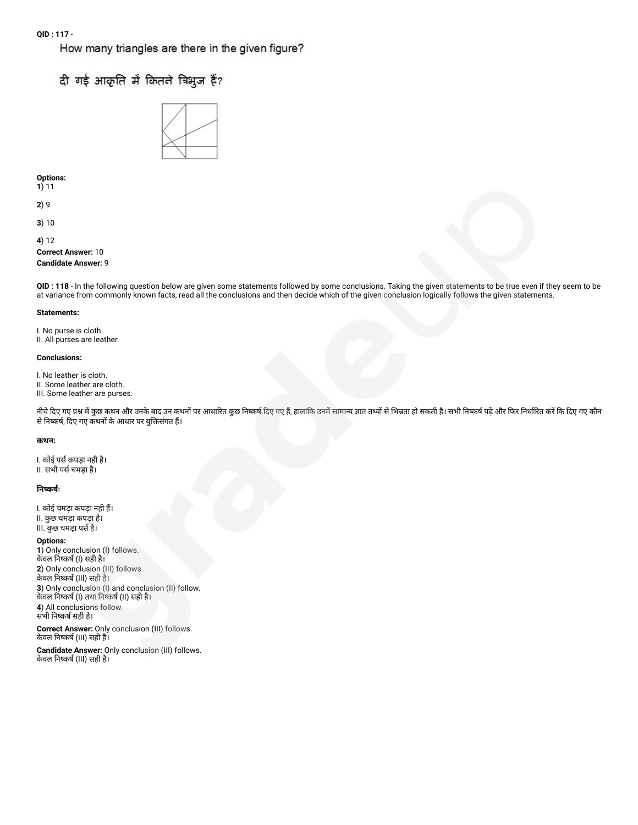How many triangles are there in the given figure?

# दी गई आकृति में कितने त्रिभूज हैं?



**Options:**

**1**) 11

**2**) 9

**3**) 10

**4**) 12 **Correct Answer:** 10

## **Candidate Answer:** 9

**QID : 118** - In the following question below are given some statements followed by some conclusions. Taking the given statements to be true even if they seem to be at variance from commonly known facts, read all the conclusions and then decide which of the given conclusion logically follows the given statements.

#### **Statements:**

I. No purse is cloth. II. All purses are leather.

#### **Conclusions:**

I. No leather is cloth.

II. Some leather are cloth.

III. Some leather are purses.

नीचे दिए गए प्रश्न में कुछ कथन और उनके बाद उन कथनों पर आधारित कुछ निष्कर्ष दिए गए हैं, हालांकि उनमें सामान्य ज्ञात तथ्यों से भिन्नता हो सकती है। सभी निष्कर्ष पढ़ें और फिर निर्धारित करें कि दिए गए कौन से निष्कर्ष, दिए गए कथनों के आधार पर युक्तिसंगत हैं।

#### **कथनः**

I. कोई पर्स कपड़ा नहीं है। II. सभी पर्स चमड़ा हैं।

### **नकषः**

I. कोई चमड़ा कपड़ा नही ह। II. कुछ चमड़ा कपड़ा है। III. कुछ चमड़ा पसहै।

#### **Options:**

**1**) Only conclusion (I) follows. केवल निष्कर्ष (l) सही है। **2**) Only conclusion (III) follows. केवल नकष (III) सही है। **3**) Only conclusion (I) and conclusion (II) follow. केवल निष्कर्ष (I) तथा निष्कर्ष (II) सही है। **4**) All conclusions follow. सभी निष्कर्ष सही है।

**Correct Answer:** Only conclusion (III) follows. केवल नकष (III) सही है।

**Candidate Answer:** Only conclusion (III) follows. केवल नकष (III) सही है।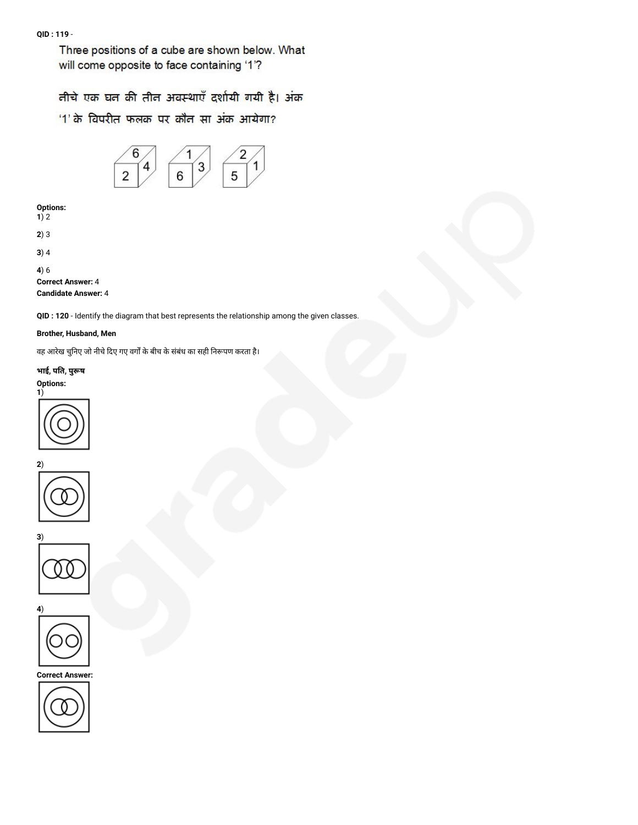Three positions of a cube are shown below. What will come opposite to face containing '1'?

तीचे एक घत की तीत अवस्थाएँ दर्शायी गयी है। अंक

'1' के विपरीत फलक पर कौन सा अंक आयेगा?



**Options: 1**) 2

**2**) 3

**3**) 4

**4**) 6

**Correct Answer:** 4

**Candidate Answer:** 4

**QID : 120** - Identify the diagram that best represents the relationship among the given classes.

## **Brother, Husband, Men**

वह आरेख चुनिए जो नीचे दिए गए वर्गों के बीच के संबंध का सही निरूपण करता है।

**भाई, पत, पुष Options:**









**Correct Answer:**

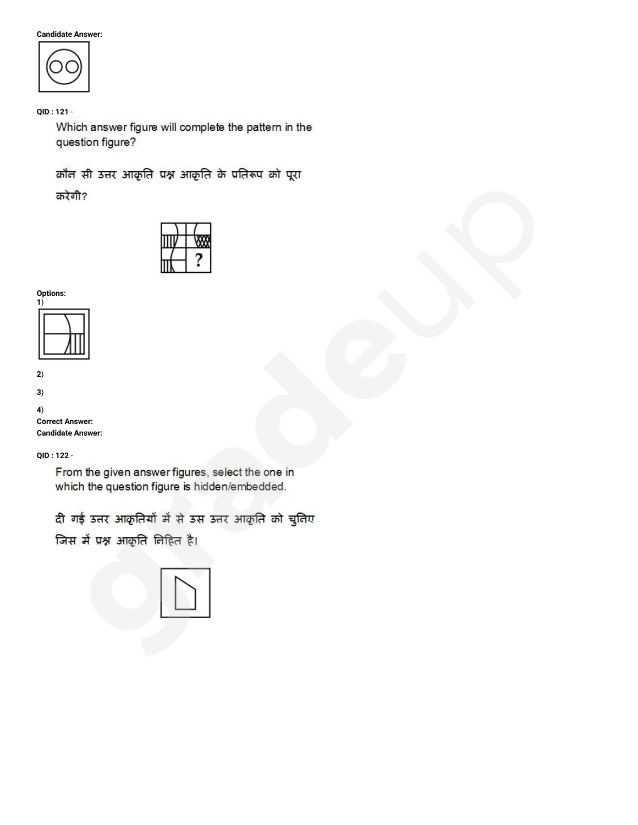**Candidate Answer:**



**QID : 121** -

Which answer figure will complete the pattern in the question figure?

कौन सी उत्तर आकृति प्रश्न आकृति के प्रतिरूप को पूरा करेगी?









**3**)

**4**) **Correct Answer:**

**Candidate Answer:**

**QID : 122** -

From the given answer figures, select the one in which the question figure is hidden/embedded.

दी गई उत्तर आकृतियों में से उस उत्तर आकृति को चुनिए

जिस में प्रश्न आकृति निहित है।

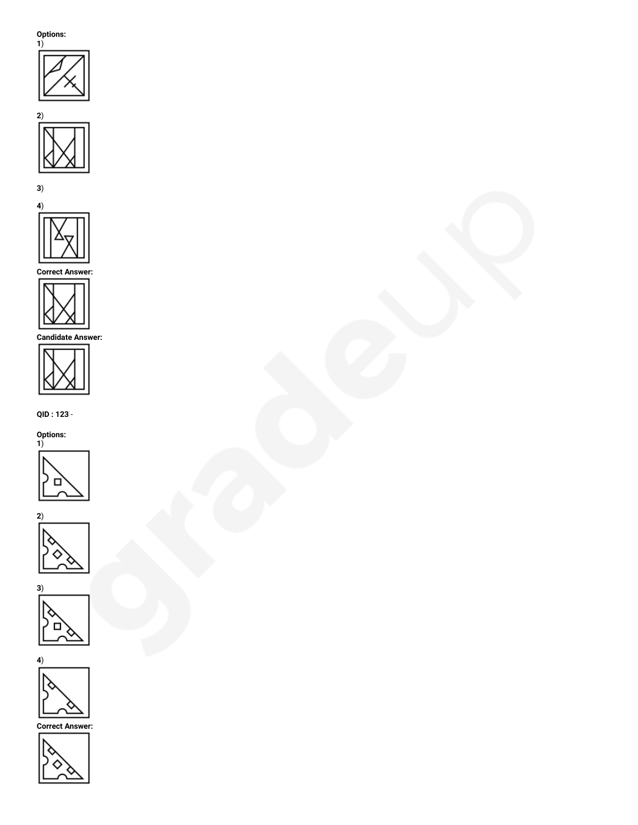**Options:**









**Correct Answer:**



**Candidate Answer:**



**QID : 123** -











**Correct Answer:**

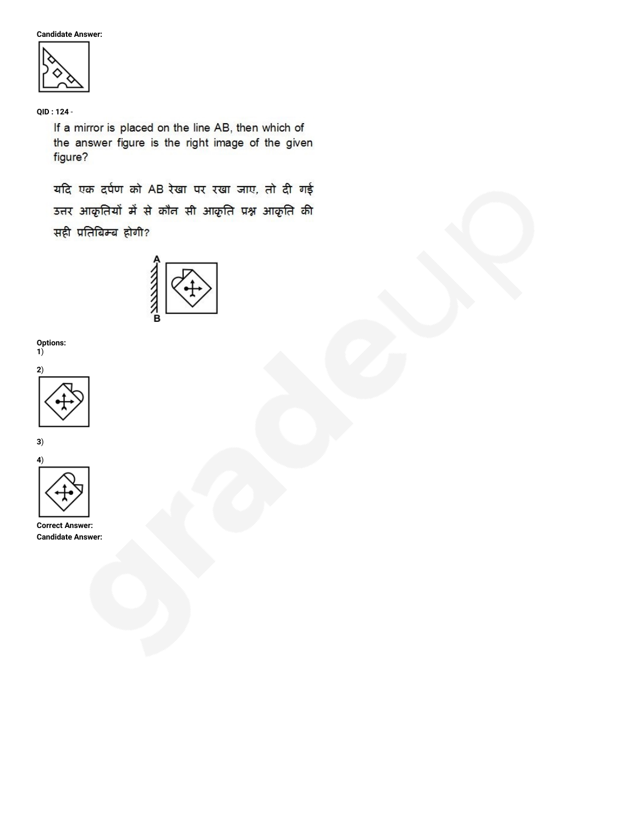**Candidate Answer:**



**QID : 124** -

If a mirror is placed on the line AB, then which of the answer figure is the right image of the given figure?

यदि एक दर्पण को AB रेखा पर रखा जाए, तो दी गई उत्तर आकृतियों में से कौन सी आकृति प्रश्न आकृति की सही प्रतिबिम्ब होगी?



**Options:**







**Correct Answer: Candidate Answer:**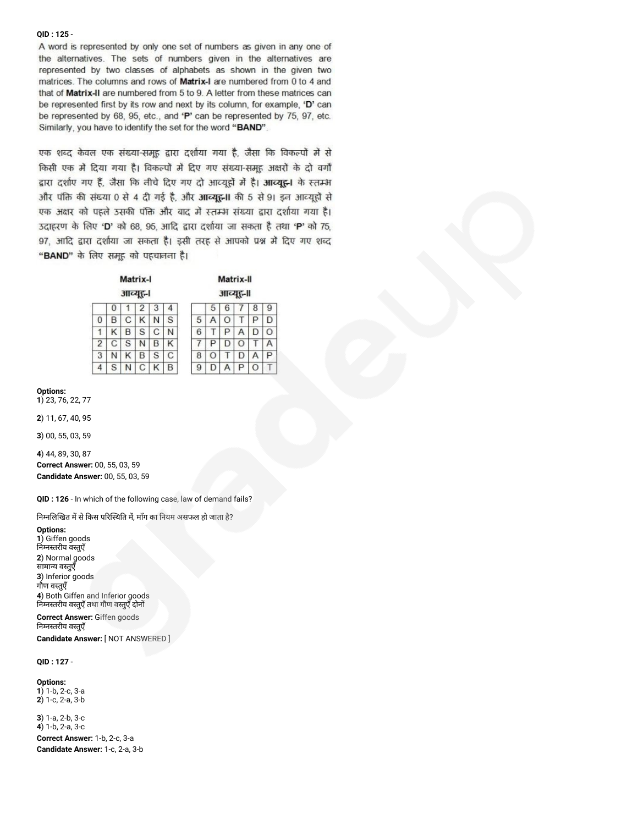#### **QID : 125** -

A word is represented by only one set of numbers as given in any one of the alternatives. The sets of numbers given in the alternatives are represented by two classes of alphabets as shown in the given two matrices. The columns and rows of Matrix-I are numbered from 0 to 4 and that of Matrix-II are numbered from 5 to 9. A letter from these matrices can be represented first by its row and next by its column, for example, 'D' can be represented by 68, 95, etc., and 'P' can be represented by 75, 97, etc. Similarly, you have to identify the set for the word "BAND".

एक शब्द केवल एक संख्या-समूह द्वारा दर्शाया गया है, जैसा कि विकल्पों में से किसी एक में दिया गया है। विकल्पों में दिए गए संख्या-समूह अक्षरों के दो वर्गों द्वारा दर्शाए गए हैं, जैसा कि नीचे दिए गए दो आव्यूहों में है। आव्यूहन के स्तम्भ और पंक्ति की संख्या 0 से 4 दी गई है, और आव्यूह़-II की 5 से 91 इन आव्यूहों से एक अक्षर को पहले उसकी पंक्ति और बाद में स्तम्भ संख्या द्वारा दर्शाया गया है। 3दाहरण के लिए 'D' को 68, 95, आदि द्वारा दर्शाया जा सकता है तथा 'P' को 75, 97, आदि द्वारा दर्शाया जा सकता है। इसी तरह से आपको प्रश्न में दिए गए शब्द "BAND" के लिए समूह को पहचानना है।

| Matrix-I<br>आव्यूह-। |   |   |   |   |   |   |          |   | Matrix-II |         |
|----------------------|---|---|---|---|---|---|----------|---|-----------|---------|
|                      |   |   |   |   |   |   |          |   | आव्यूह़-॥ |         |
|                      | O |   | 2 | 3 | 4 |   | 5        | 6 |           | 8       |
| 0                    | в | С |   | N | S | b |          | O |           | ₽       |
|                      |   | B | S | С | N | 6 |          | P | А         | D       |
| $\overline{2}$       | С | S |   | В | κ |   |          | ш | O         |         |
| 3                    |   |   | в | S | C | 8 | $\Omega$ |   | D         | Α       |
| 4                    | S |   | С | κ | B | 9 |          | Α | Ρ         | $\circ$ |

 $\overline{9}$ 

D

 $\circ$ A

 $\overline{P}$ 

#### **Options:**

**1**) 23, 76, 22, 77

**2**) 11, 67, 40, 95

**3**) 00, 55, 03, 59

**4**) 44, 89, 30, 87 **Correct Answer:** 00, 55, 03, 59

**Candidate Answer:** 00, 55, 03, 59

**QID : 126** - In which of the following case, law of demand fails?

निम्नलिखित में से किस परिस्थिति में, माँग का नियम असफल हो जाता है?

**Options:**

**1**) Giffen goods निम्नस्तरीय वस्तुएँ **2**) Normal goods सामाय वतुएँ **3**) Inferior goods गौण वतुएँ **4**) Both Giffen and Inferior goods निम्नस्तरीय वस्तुएँ तथा गौण वस्तुएँ दोनों

**Correct Answer:** Giffen goods निम्नस्तरीय वस्तुएँ

**Candidate Answer:** [ NOT ANSWERED ]

#### **QID : 127** -

**Options: 1**) 1-b, 2-c, 3-a **2**) 1-c, 2-a, 3-b

**3**) 1-a, 2-b, 3-c **4**) 1-b, 2-a, 3-c **Correct Answer:** 1-b, 2-c, 3-a **Candidate Answer:** 1-c, 2-a, 3-b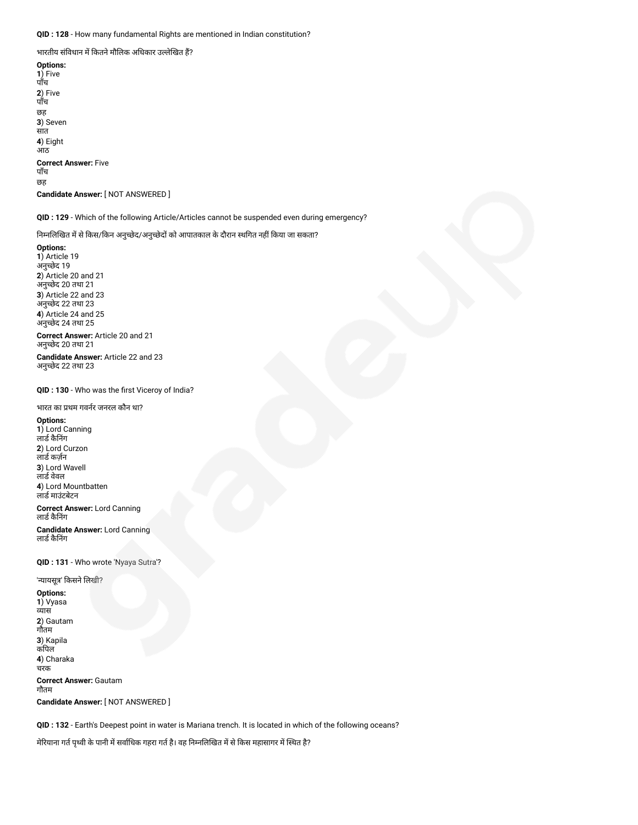**QID : 128** - How many fundamental Rights are mentioned in Indian constitution?

भारतीय संविधान में कितने मौलिक अधिकार उल्लेखित हैं?

**Options: 1**) Five पाँच **2**) Five पाँच छह **3**) Seven सात **4**) Eight आठ **Correct Answer:** Five पाँच छह **Candidate Answer:** [ NOT ANSWERED ]

**QID : 129** - Which of the following Article/Articles cannot be suspended even during emergency?

निम्नलिखित में से किस/किन अनुच्छेद/अनुच्छेदों को आपातकाल के दौरान स्थगित नहीं किया जा सकता?

**Options: 1**) Article 19 अनुछेद 19 **2**) Article 20 and 21 अनुछेद 20 तथा 21 **3**) Article 22 and 23 अनुछेद 22 तथा 23 **4**) Article 24 and 25 अनुछेद 24 तथा 25

**Correct Answer:** Article 20 and 21 अनुछेद 20 तथा 21

**Candidate Answer:** Article 22 and 23 अनुछेद 22 तथा 23

**QID : 130** - Who was the first Viceroy of India?

#### भारत का थम गवनर जनरल कौन था?

#### **Options:**

**1**) Lord Canning लाडे कैनिंग **2**) Lord Curzon लार्ड कर्ज़न **3**) Lord Wavell लार्ड वेवल **4**) Lord Mountbatten लाडमाउंटबेटन

**Correct Answer:** Lord Canning लार्ड कैनिंग

**Candidate Answer:** Lord Canning लार्ड कैनिंग

**QID : 131** - Who wrote 'Nyaya Sutra'?

'न्यायसूत्र' किसने लिखी?

**Options: 1**) Vyasa व्यास **2**) Gautam गौतम **3**) Kapila कपिल **4**) Charaka चरक **Correct Answer:** Gautam गौतम **Candidate Answer:** [ NOT ANSWERED ]

**QID : 132** - Earth's Deepest point in water is Mariana trench. It is located in which of the following oceans?

मेरियाना गर्त पृथ्वी के पानी में सर्वाधिक गहरा गर्त है। वह निम्नलिखित में से किस महासागर में स्थित है?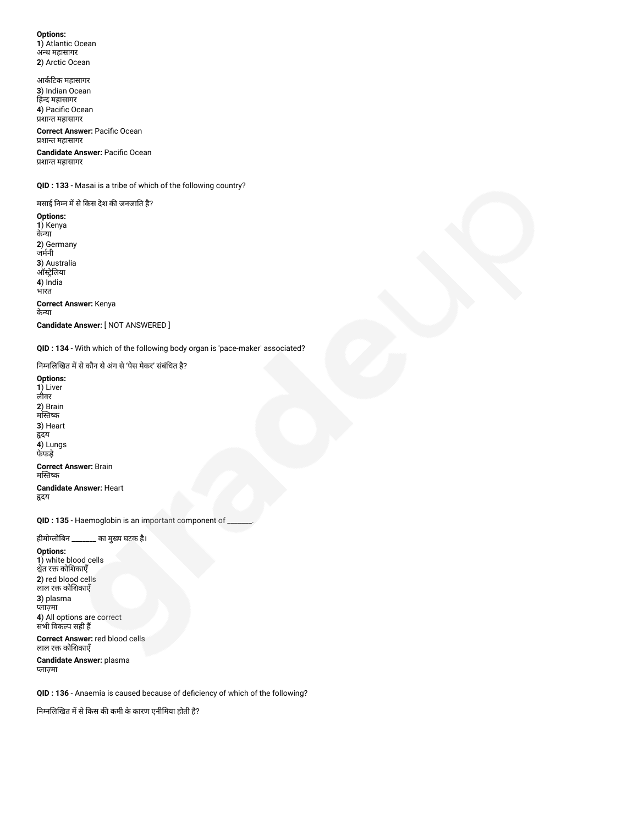**Options: 1**) Atlantic Ocean अध महासागर **2**) Arctic Ocean

आकटक महासागर **3**) Indian Ocean हद महासागर **4**) Pacific Ocean शात महासागर

**Correct Answer:** Pacific Ocean शात महासागर

**Candidate Answer:** Pacific Ocean शात महासागर

**QID : 133** - Masai is a tribe of which of the following country?

मसाई निम्न में से किस देश की जनजाति है?

**Options: 1**) Kenya केया **2**) Germany जमनी **3**) Australia ऑस्ट्रेलिया **4**) India भारत **Correct Answer:** Kenya केया **Candidate Answer:** [ NOT ANSWERED ]

**QID : 134** - With which of the following body organ is 'pace-maker' associated?

निम्नलिखित में से कौन से अंग से 'पेस मेकर' संबंधित है?

**Options: 1**) Liver लीवर **2**) Brain मस्तिष्क **3**) Heart दय **4**) Lungs फेफड़े

**Correct Answer:** Brain मस्तिष्क **Candidate Answer:** Heart

दय

**QID : 135** - Haemoglobin is an important component of \_\_\_\_\_\_\_.

हीमोग्लोबिन \_\_\_\_\_\_\_ का मुख्य घटक है।

### **Options:**

**1**) white blood cells श्वेत रक्त कोशिकाएँ **2**) red blood cells लाल रक्त कोशिकाएँ **3**) plasma लामा **4**) All options are correct सभी वकप सही ह

#### **Correct Answer:** red blood cells लाल रक्त कोशिकाएँ

**Candidate Answer:** plasma लामा

**QID : 136** - Anaemia is caused because of deficiency of which of the following?

निम्नलिखित में से किस की कमी के कारण एनीमिया होती है?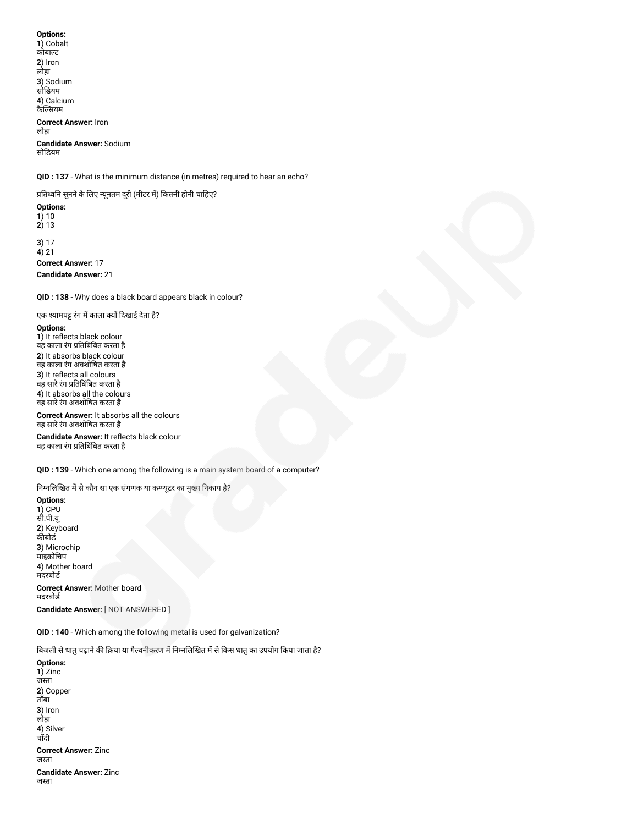**Options: 1**) Cobalt कोबाट **2**) Iron लोहा **3**) Sodium सोडयम **4**) Calcium कैसयम **Correct Answer:** Iron लोहा **Candidate Answer:** Sodium सोडयम

**QID : 137** - What is the minimum distance (in metres) required to hear an echo?

प्रतिध्वनि सुनने के लिए न्यूनतम दूरी (मीटर में) कितनी होनी चाहिए?

**Options: 1**) 10 **2**) 13 **3**) 17 **4**) 21

**Correct Answer:** 17 **Candidate Answer:** 21

**QID : 138** - Why does a black board appears black in colour?

एक श्यामपट्ट रंग में काला क्यों दिखाई देता है?

#### **Options:**

1) It reflects black colour वह काला रंग प्रतिबिंबित करता है **2**) It absorbs black colour वह काला रंग अवशोषत करता है **3**) It reflects all colours वह सारे रंग प्रतिबिंबित करता है **4**) It absorbs all the colours वह सारेरंग अवशोषत करता है

**Correct Answer:** It absorbs all the colours वह सारेरंग अवशोषत करता है

**Candidate Answer:** It reflects black colour वह काला रंग प्रतिबिंबित करता है

**QID : 139** - Which one among the following is a main system board of a computer?

निम्नलिखित में से कौन सा एक संगणक या कम्प्यूटर का मुख्य निकाय है?

**Options: 1**) CPU सी.पी.यू **2**) Keyboard कीबोर्ड **3**) Microchip --, ........<br>माइक्रोचिप **4**) Mother board मदरबोड **Correct Answer:** Mother board मदरबोड

**Candidate Answer:** [ NOT ANSWERED ]

**QID : 140** - Which among the following metal is used for galvanization?

बिजली से धातु चढ़ाने की क्रिया या गैल्वनीकरण में निम्नलिखित में से किस धातु का उपयोग किया जाता है?

**Options: 1**) Zinc जस्ता **2**) Copper ताँबा **3**) Iron लोहा **4**) Silver चाँदी **Correct Answer:** Zinc जस्ता **Candidate Answer:** Zinc जस्ता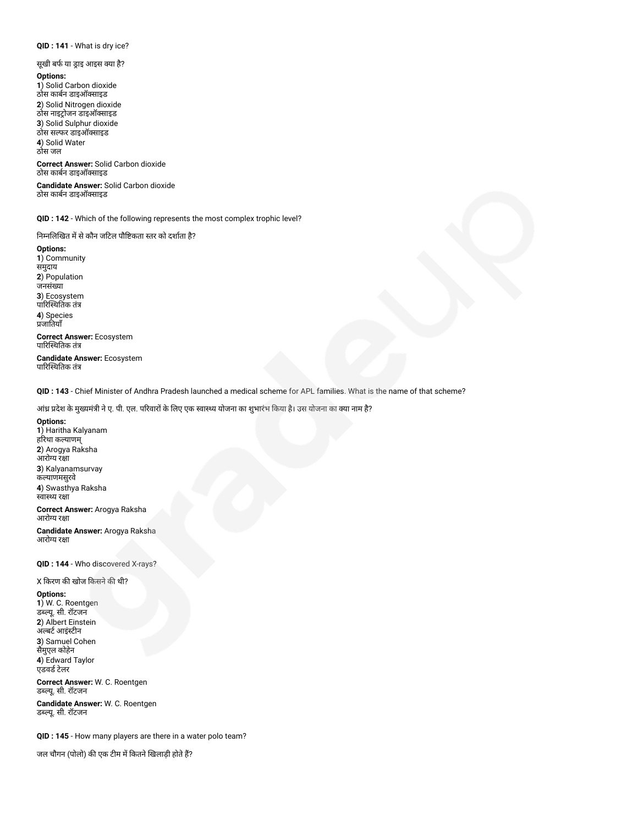## **QID : 141** - What is dry ice?

सूखी बर्फ या ड्राइ आइस क्या है?

#### **Options:**

**1**) Solid Carbon dioxide ठोस काबन डाइऑसाइड **2**) Solid Nitrogen dioxide ठोस नाइट्रोजन डाइऑक्साइड **3**) Solid Sulphur dioxide ठोस सफर डाइऑसाइड **4**) Solid Water ठोस जल

**Correct Answer:** Solid Carbon dioxide ठोस काबन डाइऑसाइड

**Candidate Answer:** Solid Carbon dioxide ठोस काबन डाइऑसाइड

**QID : 142** - Which of the following represents the most complex trophic level?

निम्नलिखित में से कौन जटिल पौष्टिकता स्तर को दर्शाता है?

**Options: 1**) Community समुदाय **2**) Population जनसंया **3**) Ecosystem पारिस्थितिक तंत्र **4**) Species जातयाँ **Correct Answer:** Ecosystem पारिस्थितिक तंत्र

**Candidate Answer:** Ecosystem पारिस्थितिक तंत्र

**QID : 143** - Chief Minister of Andhra Pradesh launched a medical scheme for APL families. What is the name of that scheme?

आंध्र प्रदेश के मुख्यमंत्री ने ए. पी. एल. परिवारों के लिए एक स्वास्थ्य योजना का शुभारंभ किया है। उस योजना का क्या नाम है?

#### **Options:**

**1**) Haritha Kalyanam हरिथा कल्याणम् **2**) Arogya Raksha आरोग्य रक्षा **3**) Kalyanamsurvay कयाणमसुरवे **4**) Swasthya Raksha स्वास्थ्य रक्षा

**Correct Answer:** Arogya Raksha आरोग्य रक्षा

**Candidate Answer:** Arogya Raksha आरोग्य रक्षा

**QID : 144** - Who discovered X-rays?

#### X किरण की खोज किसने की थी?

**Options: 1**) W. C. Roentgen डब्ल्यू. सी. रॉटजन **2**) Albert Einstein अल्बर्ट आइंस्टीन **3**) Samuel Cohen सैमुएल कोहेन

**4**) Edward Taylor एडवर्ड टेलर

**Correct Answer:** W. C. Roentgen डयू. सी. रॉटजन

**Candidate Answer:** W. C. Roentgen डयू. सी. रॉटजन

**QID : 145** - How many players are there in a water polo team?

जल चौगन (पोलो) की एक टीम में कितने खिलाड़ी होते हैं?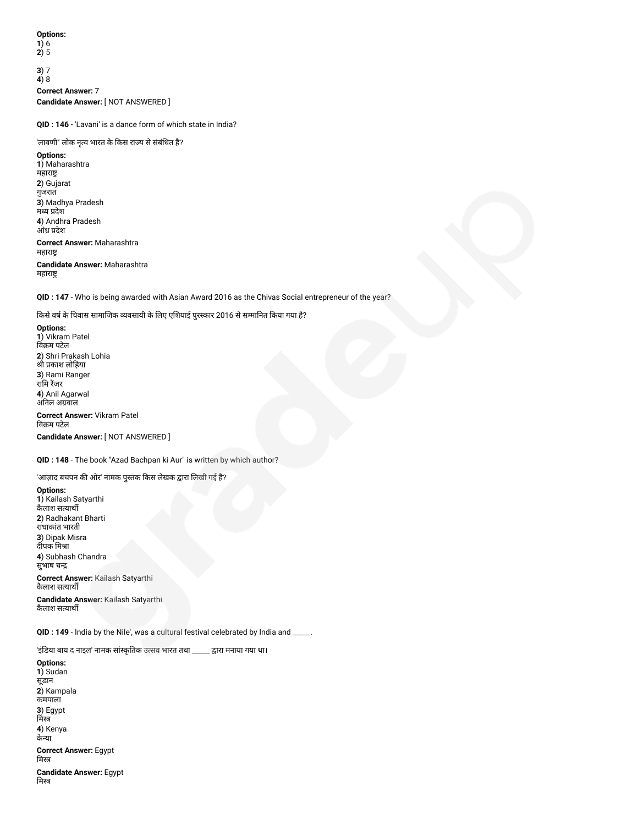**Options: 1**) 6

**2**) 5

**3**) 7 **4**) 8 **Correct Answer:** 7 **Candidate Answer:** [ NOT ANSWERED ]

**QID : 146** - 'Lavani' is a dance form of which state in India?

'लावणी" लोक नृत्य भारत के किस राज्य से संबंधित है?

**Options: 1**) Maharashtra महारा **2**) Gujarat गुजरात **3**) Madhya Pradesh मध्य प्रदेश **4**) Andhra Pradesh आंध्र प्रदेश **Correct Answer:** Maharashtra महारा **Candidate Answer:** Maharashtra महारा

**QID : 147** - Who is being awarded with Asian Award 2016 as the Chivas Social entrepreneur of the year?

किसे वर्ष के चिवास सामाजिक व्यवसायी के लिए एशियाई पुरस्कार 2016 से सम्मानित किया गया है?

**Options: 1**) Vikram Patel विक्रम पटेल **2**) Shri Prakash Lohia श्री प्रकाश लोहिया **3**) Rami Ranger रामि रैंजर **4**) Anil Agarwal अनल अवाल **Correct Answer:** Vikram Patel विक्रम पटेल

**Candidate Answer:** [ NOT ANSWERED ]

**QID : 148** - The book "Azad Bachpan ki Aur" is written by which author?

'आज़ाद बचपन की ओर' नामक पुस्तक किस लेखक द्वारा लिखी गई है?

**Options: 1**) Kailash Satyarthi कैलाश सयाथ **2**) Radhakant Bharti राधाकांत भारती **3**) Dipak Misra दीपक मिश्रा **4**) Subhash Chandra सुभाष च

**Correct Answer:** Kailash Satyarthi कैलाश सत्याथी

**Candidate Answer:** Kailash Satyarthi कैलाश सत्यार्थी

**QID : 149** - India by the Nile', was a cultural festival celebrated by India and \_\_\_\_\_.

'इंडिया बाय द नाइल' नामक सांस्कृतिक उत्सव भारत तथा \_\_\_\_\_ द्वारा मनाया गया था।

**Options: 1**) Sudan सूडान **2**) Kampala कमपाला **3**) Egypt मिस्त्र **4**) Kenya केया **Correct Answer:** Egypt मिस्त्र **Candidate Answer:** Egypt मिस्त्र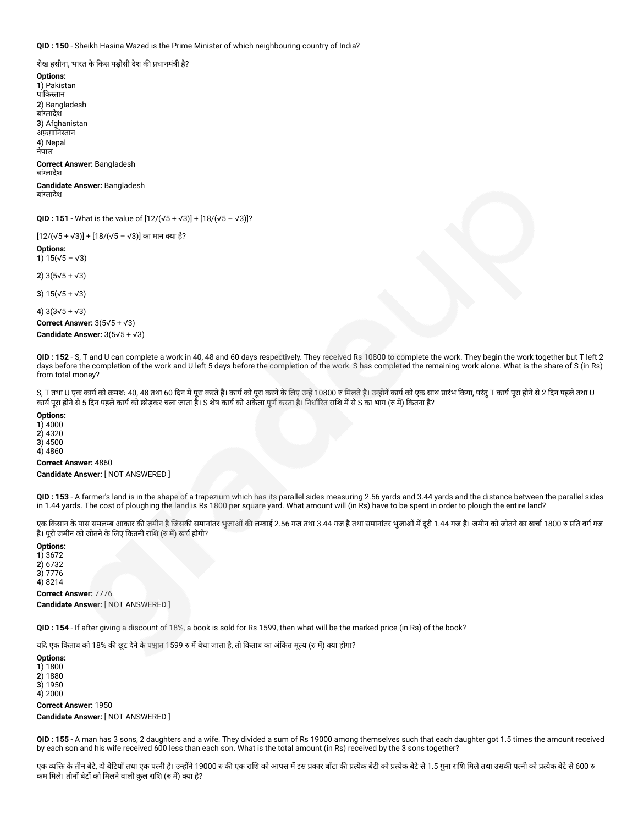**QID : 150** - Sheikh Hasina Wazed is the Prime Minister of which neighbouring country of India?

शेख हसीना, भारत के किस पडोसी देश की प्रधानमंत्री है?

**Options: 1**) Pakistan पाकतान **2**) Bangladesh बांलादेश **3**) Afghanistan अफ़ग़ानिस्तान **4**) Nepal नेपाल

**Correct Answer:** Bangladesh बांलादेश

**Candidate Answer:** Bangladesh बांलादेश

**QID : 151** - What is the value of [12/(√5 + √3)] + [18/(√5 – √3)]?

[12/(√5 + √3)] + [18/(√5 – √3)] का मान या है?

**Options: 1**)  $15(\sqrt{5} - \sqrt{3})$ 

**2**) 3(5√5 + √3)

**3**) 15(√5 + √3)

**4**) 3(3√5 + √3) **Correct Answer:** 3(5√5 + √3) **Candidate Answer:** 3(5√5 + √3)

**QID : 152** - S, T and U can complete a work in 40, 48 and 60 days respectively. They received Rs 10800 to complete the work. They begin the work together but T left 2 days before the completion of the work and U left 5 days before the completion of the work. S has completed the remaining work alone. What is the share of S (in Rs) from total money?

S, T तथा U एक कार्य को क्रमशः 40, 48 तथा 60 दिन में पूरा करते हैं। कार्य को पूरा करने के 10800 रु मिलते है। उन्होने कार्य को एक साथ प्रारंभ किया, परंतु T कार्य पूरा होने से 2 दिन पहले तथा U कार्य पूरा होने से 5 दिन पहले कार्य को छोड़कर चला जाता है। S शेष कार्य को अकेला पूर्ण करता है। निर्धारित राशि में से S का भाग (रु में) कितना है?

**Options:**

**1**) 4000 **2**) 4320

**3**) 4500

**4**) 4860

**Correct Answer:** 4860 **Candidate Answer:** [ NOT ANSWERED ]

**QID : 153** - A farmer's land is in the shape of a trapezium which has its parallel sides measuring 2.56 yards and 3.44 yards and the distance between the parallel sides in 1.44 yards. The cost of ploughing the land is Rs 1800 per square yard. What amount will (in Rs) have to be spent in order to plough the entire land?

एक किसान के पास समलम्ब आकार की जमीन है जिसकी समानांतर भुजाओं की लम्बाई 2.56 गज तथा 3.44 गज है हैशी 344 गज है। जमीन को जोतने का खर्चा 1800 रु प्रति वर्ग गज है। पूरी जमीन को जोतने के लिए कितनी राशि (रु में) खर्च होगी?

**Options: 1**) 3672 **2**) 6732 **3**) 7776 **4**) 8214 **Correct Answer:** 7776

**Candidate Answer:** [ NOT ANSWERED ]

**QID : 154** - If after giving a discount of 18%, a book is sold for Rs 1599, then what will be the marked price (in Rs) of the book?

यदि एक किताब को 18% की छूट देने के पश्चात 1599 रु में बेचा जाता है, तो किताब का अंकित मूल्य (रु में) क्या होगा?

**Options: 1**) 1800 **2**) 1880 **3**) 1950 **4**) 2000 **Correct Answer:** 1950 **Candidate Answer:** [ NOT ANSWERED ]

**QID : 155** - A man has 3 sons, 2 daughters and a wife. They divided a sum of Rs 19000 among themselves such that each daughter got 1.5 times the amount received by each son and his wife received 600 less than each son. What is the total amount (in Rs) received by the 3 sons together?

एक व्यक्ति के तीन बेटे, दो बेटियाँ तथा एक पत्नी है। उन्होंने 19000 रु की एक राशि को आपस में इस प्रकार बाँट को प्रत्क बेटी को अत्येक पत्था उसकी पत्नी को प्रत्येक बेटे से 600 रु कम मिले। तीनों बेटों को मिलने वाली कल राशि (रु में) क्या है?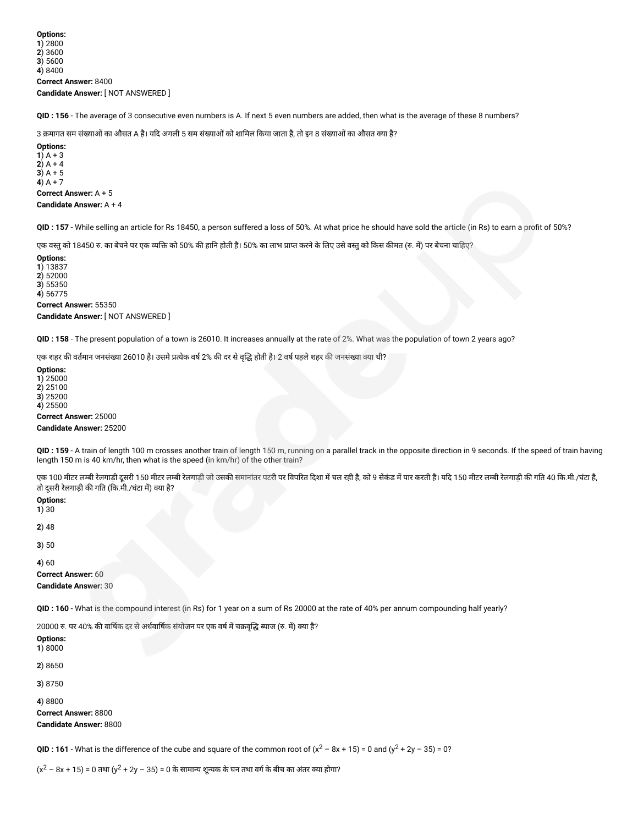**QID : 156** - The average of 3 consecutive even numbers is A. If next 5 even numbers are added, then what is the average of these 8 numbers?

3 क्रमागत सम संख्याओं का औसत A है। यदि अगली 5 सम संख्याओं को शामिल किया जाता है, तो इन 8 संख्याओं का औसत क्या है?

**Options: 1**) A + 3 **2**)  $A + 4$ **3**) A + 5 **4**) A + 7 **Correct Answer:** A + 5

**Candidate Answer:** A + 4

**QID : 157** - While selling an article for Rs 18450, a person suffered a loss of 50%. At what price he should have sold the article (in Rs) to earn a profit of 50%?

एक वस्तु को 18450 रु. का बेचने पर एक व्यक्ति को 50% की हानि होती है। 50% का लाभ प्राप्त करने के लिए उसे वस्तु को किस कीमत (रु. में) पर बेचना चाहिए?

**Options: 1**) 13837

**2**) 52000 **3**) 55350 **4**) 56775

**Correct Answer:** 55350

**Candidate Answer:** [ NOT ANSWERED ]

**QID : 158** - The present population of a town is 26010. It increases annually at the rate of 2%. What was the population of town 2 years ago?

एक शहर की वर्तमान जनसंख्या 26010 है। उसमे प्रत्येक वर्ष 2% की दर से वृद्धि होती है। 2 वर्ष पहले शहर की जनसंख्या क्या थी?

**Options:**

**1**) 25000

**2**) 25100 **3**) 25200

**4**) 25500

**Correct Answer:** 25000

**Candidate Answer:** 25200

**QID : 159** - A train of length 100 m crosses another train of length 150 m, running on a parallel track in the opposite direction in 9 seconds. If the speed of train having length 150 m is 40 km/hr, then what is the speed (in km/hr) of the other train?

एक 100 मीटर लम्बी रेलगाडी दूसरी 150 मीटर लम्बी रेलगाडी जो उसकी समानांतर पटरी पर विपरित दिशा में चल रही है। यद 150 मीटर लम्बी रेलगाडी की गति 40 कि.मी./घंटा है, तो दूसरी रेलगाड़ी की गति (कि.मी./घंटा में) क्या है?

**Options:**

**1**) 30

**2**) 48

**3**) 50

**4**) 60

**Correct Answer:** 60 **Candidate Answer:** 30

**QID : 160** - What is the compound interest (in Rs) for 1 year on a sum of Rs 20000 at the rate of 40% per annum compounding half yearly?

20000 रु. पर 40% की वार्षिक दर से अर्धवार्षिक संयोजन पर एक वर्ष में चक्रवृद्धि ब्याज (रु. में) क्या है?

**Options: 1**) 8000 **2**) 8650 **3**) 8750 **4**) 8800 **Correct Answer:** 8800

**Candidate Answer:** 8800

**QID**: **161** - What is the difference of the cube and square of the common root of  $(x^2 - 8x + 15) = 0$  and  $(y^2 + 2y - 35) = 0$ ?

(x $^2$  − 8x + 15) = 0 तथा (y $^2$  + 2y − 35) = 0 के सामान्य शून्यक के घन तथा वर्ग के बीच का अंतर क्या होगा?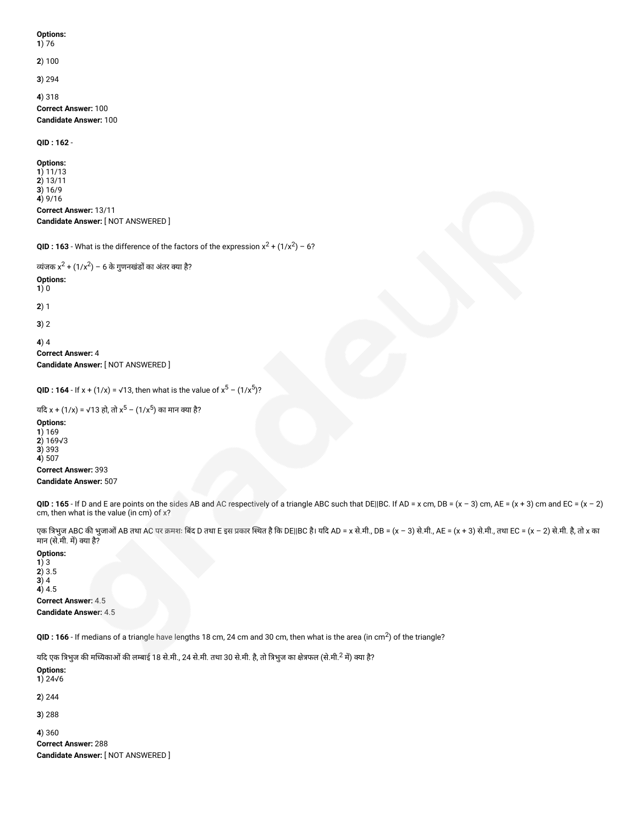### **Options:**

**1**) 76

**2**) 100

**3**) 294

**4**) 318

**Correct Answer:** 100 **Candidate Answer:** 100

#### **QID : 162** -

**Options: 1**) 11/13 **2**) 13/11 **3**) 16/9 **4**) 9/16 **Correct Answer:** 13/11 **Candidate Answer:** [ NOT ANSWERED ]

```
QID : 163 - What is the difference of the factors of the expression x^2 + (1/x^2) - 6?
```

```
व्यंजक x^2 + (1/x^2) − 6 के गुणनखंडों का अंतर क्या है?
Options:
1) 0
2) 1
3) 2
4) 4
Correct Answer: 4
Candidate Answer: [ NOT ANSWERED ]
```

```
QID : 164 - If x + (1/x) = \sqrt{13}, then what is the value of x^5 - (1/x^5)?
```

```
यदि x + (1/x) = √13 हो, तो x<sup>5</sup> − (1/x<sup>5</sup>) का मान क्या है?
```
**Options: 1**) 169 **2**) 169√3 **3**) 393 **4**) 507 **Correct Answer:** 393 **Candidate Answer:** 507

**QID**: 165 - If D and E are points on the sides AB and AC respectively of a triangle ABC such that DE||BC. If AD = x cm, DB = (x - 3) cm, AE = (x + 3) cm and EC = (x - 2) cm, then what is the value (in cm) of x?

एक त्रिभुज ABC की भुजाओं AB तथा AC पर क्रमशः बिंद D तथा E इस प्रकार स्थित है कि DE||BC है। यदि AD = x से.मी., DB = (x – 3) से.मी., AE = (x + 3) से.मी., तथा EC = (x – 2) से.मी. है, तो x का मान (से.मी. म) या है?

#### **Options: 1**) 3 **2**) 3.5 **3**) 4 **4**) 4.5 **Correct Answer:** 4.5 **Candidate Answer:** 4.5

**QID** : **166** - If medians of a triangle have lengths 18 cm, 24 cm and 30 cm, then what is the area (in cm<sup>2</sup>) of the triangle?

यदि एक त्रिभुज की मध्यिकाओं की लम्बाई 18 से.मी., 24 से.मी. तथा 30 से.मी. है, तो त्रिभुज का क्षेत्रफल (से.मी.<sup>2</sup> में) क्या है?

**Options: 1**) 24√6 **2**) 244 **3**) 288 **4**) 360 **Correct Answer:** 288

**Candidate Answer:** [ NOT ANSWERED ]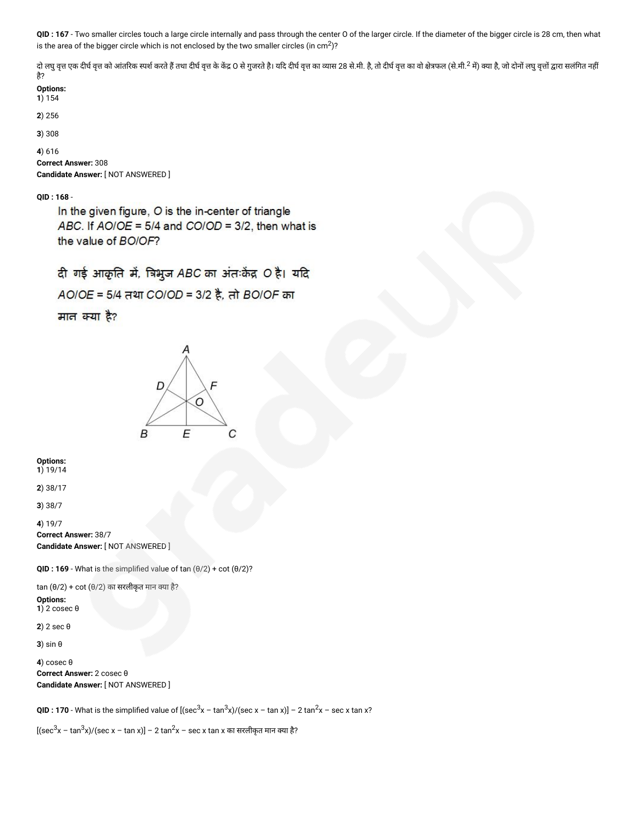**QID : 167** - Two smaller circles touch a large circle internally and pass through the center O of the larger circle. If the diameter of the bigger circle is 28 cm, then what is the area of the bigger circle which is not enclosed by the two smaller circles (in cm $^2$ )?

दो लघु वृत्त एक दीर्घ वृत को आंतरिक स्पर्श करते हैं तथा दीर्घ वृत के केंद्र O से पत्र दोचि तक्ता का व्या सलंगत का बाल करता सलंगत करता है, जो दोनों लघुवृत्तों द्वारा सलंगित नहीं है?

| Options |
|---------|
|         |

**1**) 154

**2**) 256

**3**) 308

**4**) 616 **Correct Answer:** 308 **Candidate Answer:** [ NOT ANSWERED ]

**QID : 168** -

In the given figure, O is the in-center of triangle ABC. If AO/OE = 5/4 and CO/OD = 3/2, then what is the value of BO/OF?

दी गई आकृति में, त्रिभुज ABC का अंतःकेंद्र O है। यदि

AO/OE = 5/4 तथा CO/OD = 3/2 है, तो BO/OF का

मान क्या है?



**Options: 1**) 19/14

**2**) 38/17

**3**) 38/7

**4**) 19/7

**Correct Answer:** 38/7 **Candidate Answer:** [ NOT ANSWERED ]

**QID : 169** - What is the simplified value of tan (θ/2) + cot (θ/2)?

 $tan (\theta/2) + cot (\theta/2)$  का सरलीकृत मान क्या है?

**Options: 1**) 2 cosec θ

**2**) 2 sec θ

**3**) sin θ

**4**) cosec θ **Correct Answer:** 2 cosec θ **Candidate Answer:** [ NOT ANSWERED ]

**QID : 170** - What is the simplified value of  $[(\sec^3 x - \tan^3 x)/(\sec x - \tan x)] - 2 \tan^2 x - \sec x \tan x$ ?

[(sec<sup>3</sup>x – tan<sup>3</sup>x)/(sec x – tan x)] – 2 tan<sup>2</sup>x – sec x tan x का सरलीकृत मान क्या है?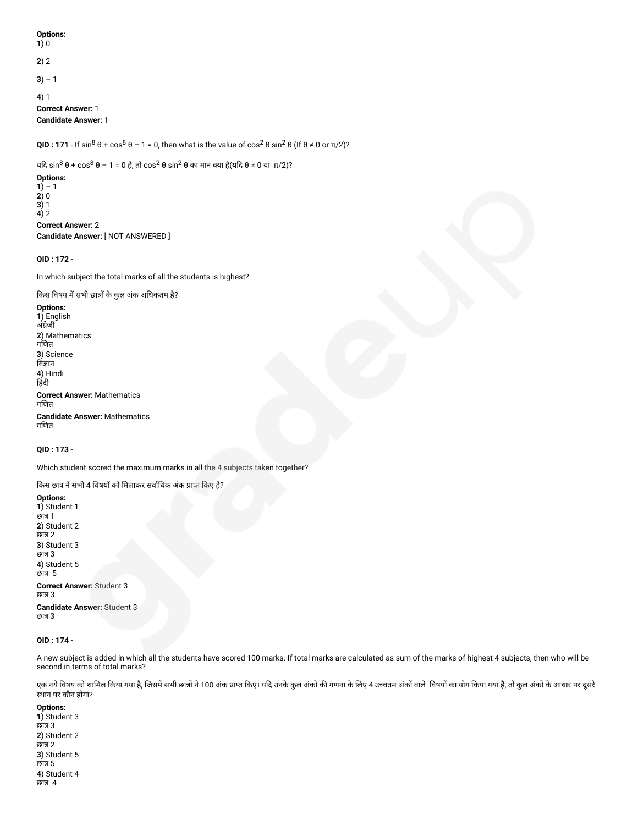**Options: 1**) 0 **2**) 2 **3**) – 1 **4**) 1 **Correct Answer:** 1 **Candidate Answer:** 1

**QID : 171** - If sin<sup>8</sup> θ + cos<sup>8</sup> θ − 1 = 0, then what is the value of cos<sup>2</sup> θ sin<sup>2</sup> θ (If θ ≠ 0 or π/2)?

यदि sin $^8$  θ + cos $^8$  θ − 1 = 0 है, तो cos $^2$  θ sin $^2$  θ का मान क्या है(यदि θ ≠ 0 या $\:$  π/2)?

**Options: 1**) – 1 **2**) 0 **3**) 1 **4**) 2 **Correct Answer:** 2

**Candidate Answer:** [ NOT ANSWERED ]

**QID : 172** -

In which subject the total marks of all the students is highest?

किस विषय में सभी छात्रों के कुल अंक अधिकतम है?

**Options: 1**) English अंग्रेजी **2**) Mathematics गणत **3**) Science विज्ञान **4**) Hindi हिंदी **Correct Answer:** Mathematics गणत **Candidate Answer:** Mathematics गणत

**QID : 173** -

Which student scored the maximum marks in all the 4 subjects taken together?

किस छात्र ने सभी 4 विषयों को मिलाकर सर्वाधिक अंक प्राप्त किए है?

**Options: 1**) Student 1 छात्र 1 **2**) Student 2 छात्र 2 **3**) Student 3 छात्र 3 **4**) Student 5 छात्र 5 **Correct Answer:** Student 3 छात्र 3 **Candidate Answer:** Student 3 छात्र 3

**QID : 174** -

A new subject is added in which all the students have scored 100 marks. If total marks are calculated as sum of the marks of highest 4 subjects, then who will be second in terms of total marks?

एक नये विषय को शामिल किया गया है, जिसमें सभी छात्रों ने 100 अंक प्राप्त किए। यदि उनके कुल अंको गणना के लिए 4 उच्चतम अंकों वाले विषयों का योग किया गया है, तो कुल अंकों के आधार पर दूसरे थान पर कौन होगा?

**Options: 1**) Student 3 छात्र 3 **2**) Student 2 छात्र 2 **3**) Student 5 छात्र 5 **4**) Student 4 छात्र 4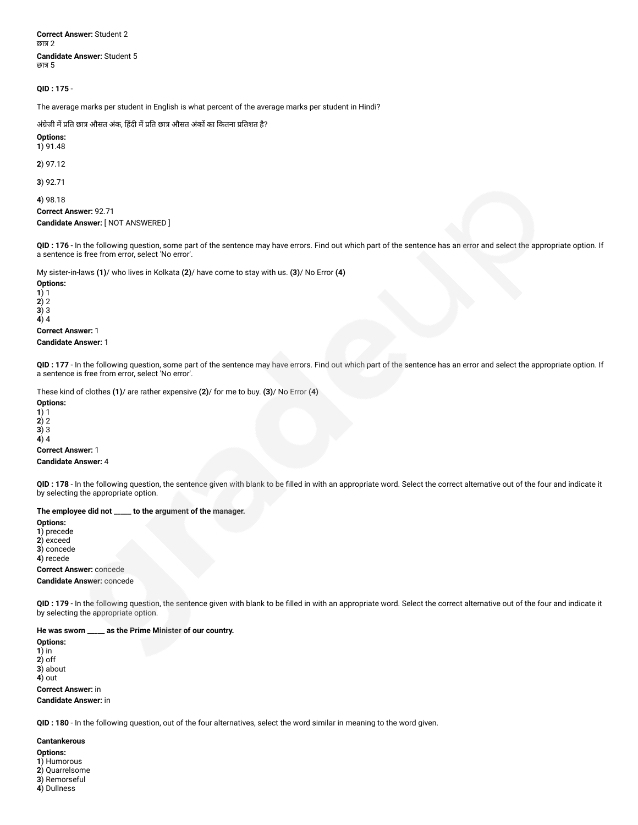**Correct Answer:** Student 2 छात्र 2 **Candidate Answer:** Student 5 छात्र 5

**QID : 175** -

The average marks per student in English is what percent of the average marks per student in Hindi?

#### अंग्रेजी में प्रति छात्र औसत अंक, हिंदी में प्रति छात्र औसत अंकों का कितना प्रतिशत है?

**Options: 1**) 91.48

**2**) 97.12

**3**) 92.71

**4**) 98.18 **Correct Answer:** 92.71 **Candidate Answer:** [ NOT ANSWERED ]

**QID : 176** - In the following question, some part of the sentence may have errors. Find out which part of the sentence has an error and select the appropriate option. If a sentence is free from error, select 'No error'.

My sister-in-laws **(1)**/ who lives in Kolkata **(2)**/ have come to stay with us. **(3)**/ No Error **(4)**

**Options: 1**) 1

**2**) 2 **3**) 3

**4**) 4

## **Correct Answer:** 1

#### **Candidate Answer:** 1

**QID : 177** - In the following question, some part of the sentence may have errors. Find out which part of the sentence has an error and select the appropriate option. If a sentence is free from error, select 'No error'.

These kind of clothes **(1)**/ are rather expensive **(2)**/ for me to buy. **(3)**/ No Error **(4)**

#### **Options:**

**1**) 1

**2**) 2

**3**) 3 **4**) 4

#### **Correct Answer:** 1 **Candidate Answer:** 4

**QID : 178** - In the following question, the sentence given with blank to be filled in with an appropriate word. Select the correct alternative out of the four and indicate it by selecting the appropriate option.

## **The employee did not \_\_\_\_\_ to the argument of the manager.**

**Options: 1**) precede **2**) exceed

**3**) concede

**4**) recede

## **Correct Answer:** concede

**Candidate Answer:** concede

**QID : 179** - In the following question, the sentence given with blank to be filled in with an appropriate word. Select the correct alternative out of the four and indicate it by selecting the appropriate option.

## **He was sworn \_\_\_\_\_ as the Prime Minister of our country.**

**Options: 1**) in **2**) off **3**) about **4**) out **Correct Answer:** in **Candidate Answer:** in

**QID : 180** - In the following question, out of the four alternatives, select the word similar in meaning to the word given.

## **Cantankerous**

**Options: 1**) Humorous

- **2**) Quarrelsome
- **3**) Remorseful
- **4**) Dullness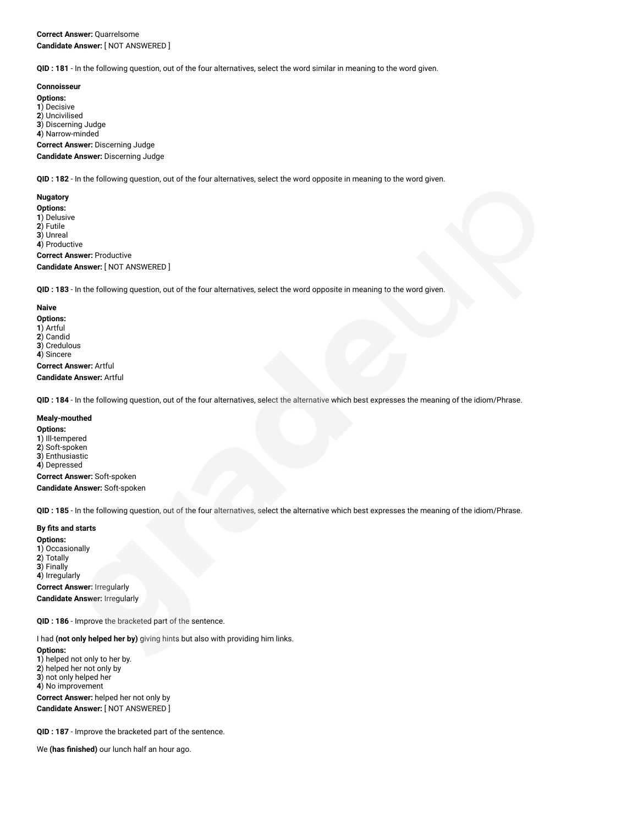**QID : 181** - In the following question, out of the four alternatives, select the word similar in meaning to the word given.

#### **Connoisseur**

**Options:** ) Decisive ) Uncivilised ) Discerning Judge

**4**) Narrow-minded

**Correct Answer:** Discerning Judge

**Candidate Answer:** Discerning Judge

**QID : 182** - In the following question, out of the four alternatives, select the word opposite in meaning to the word given.

#### **Nugatory**

**Options: 1**) Delusive **2**) Futile **3**) Unreal **4**) Productive **Correct Answer:** Productive **Candidate Answer:** [ NOT ANSWERED ]

**QID : 183** - In the following question, out of the four alternatives, select the word opposite in meaning to the word given.

#### **Naive**

**Options: 1**) Artful **2**) Candid **3**) Credulous **4**) Sincere **Correct Answer:** Artful

**Candidate Answer:** Artful

**QID : 184** - In the following question, out of the four alternatives, select the alternative which best expresses the meaning of the idiom/Phrase.

#### **Mealy-mouthed**

#### **Options:**

) Ill-tempered ) Soft-spoken ) Enthusiastic ) Depressed

**Correct Answer:** Soft-spoken **Candidate Answer:** Soft-spoken

**QID : 185** - In the following question, out of the four alternatives, select the alternative which best expresses the meaning of the idiom/Phrase.

#### **By fits and starts**

**Options: 1**) Occasionally **2**) Totally **3**) Finally **4**) Irregularly **Correct Answer:** Irregularly **Candidate Answer:** Irregularly

**QID : 186** - Improve the bracketed part of the sentence.

I had **(not only helped her by)** giving hints but also with providing him links.

**Options: 1**) helped not only to her by. **2**) helped her not only by **3**) not only helped her **4**) No improvement **Correct Answer:** helped her not only by **Candidate Answer:** [ NOT ANSWERED ]

**QID : 187** - Improve the bracketed part of the sentence.

We **(has finished)** our lunch half an hour ago.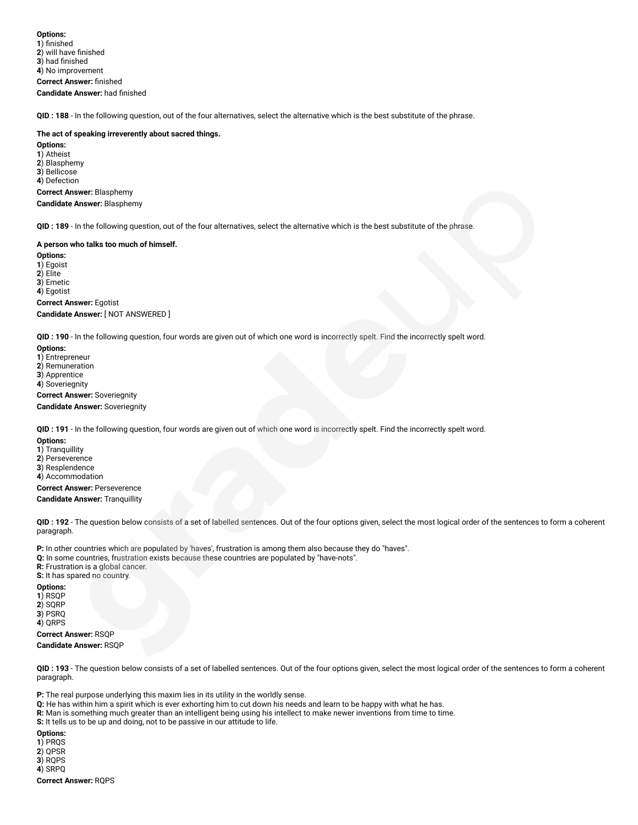**QID : 188** - In the following question, out of the four alternatives, select the alternative which is the best substitute of the phrase.

#### **The act of speaking irreverently about sacred things.**

**Options: 1**) Atheist **2**) Blasphemy **3**) Bellicose **4**) Defection **Correct Answer:** Blasphemy **Candidate Answer:** Blasphemy

**QID : 189** - In the following question, out of the four alternatives, select the alternative which is the best substitute of the phrase.

#### **A person who talks too much of himself.**

**Options: 1**) Egoist **2**) Elite **3**) Emetic **4**) Egotist **Correct Answer:** Egotist

**Candidate Answer:** [ NOT ANSWERED ]

**QID : 190** - In the following question, four words are given out of which one word is incorrectly spelt. Find the incorrectly spelt word.

**Options:**

**1**) Entrepreneur

**2**) Remuneration

**3**) Apprentice

**4**) Soveriegnity

**Correct Answer:** Soveriegnity **Candidate Answer:** Soveriegnity

**QID : 191** - In the following question, four words are given out of which one word is incorrectly spelt. Find the incorrectly spelt word.

**Options:**

**1**) Tranquillity

**2**) Perseverence

**3**) Resplendence **4**) Accommodation

**Correct Answer:** Perseverence

**Candidate Answer:** Tranquillity

**QID : 192** - The question below consists of a set of labelled sentences. Out of the four options given, select the most logical order of the sentences to form a coherent paragraph.

**P:** In other countries which are populated by 'haves', frustration is among them also because they do "haves".

**Q:** In some countries, frustration exists because these countries are populated by "have-nots".

**R:** Frustration is a global cancer.

**S:** It has spared no country.

**Options: 1**) RSQP

**2**) SQRP **3**) PSRQ

**4**) QRPS

**Correct Answer:** RSQP **Candidate Answer:** RSQP

**QID : 193** - The question below consists of a set of labelled sentences. Out of the four options given, select the most logical order of the sentences to form a coherent paragraph.

**P:** The real purpose underlying this maxim lies in its utility in the worldly sense.

**Q:** He has within him a spirit which is ever exhorting him to cut down his needs and learn to be happy with what he has.

**R:** Man is something much greater than an intelligent being using his intellect to make newer inventions from time to time.

**S:** It tells us to be up and doing, not to be passive in our attitude to life.

**Options:**

**1**) PRQS **2**) QPSR

**3**) RQPS

**4**) SRPQ

**Correct Answer:** RQPS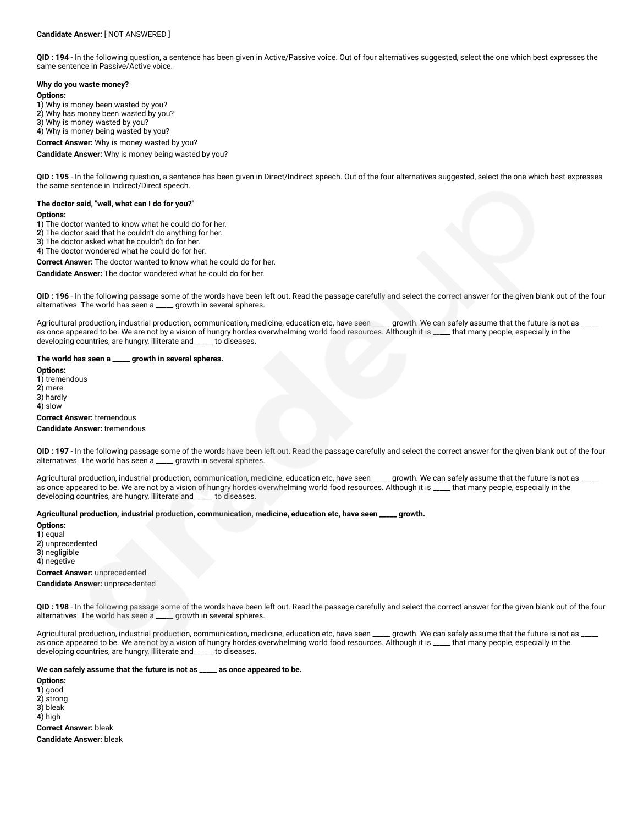QID : 194 - In the following question, a sentence has been given in Active/Passive voice. Out of four alternatives suggested, select the one which best expresses the same sentence in Passive/Active voice.

#### **Why do you waste money?**

#### **Options:**

**1**) Why is money been wasted by you?

**2**) Why has money been wasted by you?

**3**) Why is money wasted by you?

**4**) Why is money being wasted by you?

**Correct Answer:** Why is money wasted by you?

**Candidate Answer:** Why is money being wasted by you?

**QID : 195** - In the following question, a sentence has been given in Direct/Indirect speech. Out of the four alternatives suggested, select the one which best expresses the same sentence in Indirect/Direct speech.

## **The doctor said, "well, what can I do for you?"**

#### **Options:**

**1**) The doctor wanted to know what he could do for her.

**2**) The doctor said that he couldn't do anything for her.

**3**) The doctor asked what he couldn't do for her.

**4**) The doctor wondered what he could do for her.

**Correct Answer:** The doctor wanted to know what he could do for her.

**Candidate Answer:** The doctor wondered what he could do for her.

**QID : 196** - In the following passage some of the words have been left out. Read the passage carefully and select the correct answer for the given blank out of the four alternatives. The world has seen a \_\_\_\_\_ growth in several spheres.

Agricultural production, industrial production, communication, medicine, education etc, have seen \_\_\_\_\_ growth. We can safely assume that the future is not as \_ as once appeared to be. We are not by a vision of hungry hordes overwhelming world food resources. Although it is \_\_\_\_ that many people, especially in the developing countries, are hungry, illiterate and \_\_\_\_\_ to diseases.

#### **The world has seen a \_\_\_\_\_ growth in several spheres.**

**Options:**

**1**) tremendous

**2**) mere

**3**) hardly

**4**) slow

## **Correct Answer:** tremendous

**Candidate Answer:** tremendous

QID : 197 - In the following passage some of the words have been left out. Read the passage carefully and select the correct answer for the given blank out of the four alternatives. The world has seen a \_\_\_\_ growth in seve alternatives. The world has seen a \_

Agricultural production, industrial production, communication, medicine, education etc, have seen \_\_\_\_\_ growth. We can safely assume that the future is not as \_ as once appeared to be. We are not by a vision of hungry hordes overwhelming world food resources. Although it is \_\_\_\_\_ that many people, especially in the developing countries, are hungry, illiterate and \_\_\_\_\_ to diseases.

#### **Agricultural production, industrial production, communication, medicine, education etc, have seen \_\_\_\_\_ growth.**

**Options:**

**1**) equal

**2**) unprecedented

**3**) negligible

**4**) negetive

**Correct Answer:** unprecedented

**Candidate Answer:** unprecedented

**QID : 198** - In the following passage some of the words have been left out. Read the passage carefully and select the correct answer for the given blank out of the four alternatives. The world has seen a \_\_\_\_\_ growth in several spheres.

Agricultural production, industrial production, communication, medicine, education etc, have seen \_\_\_\_\_ growth. We can safely assume that the future is not as as once appeared to be. We are not by a vision of hungry hordes overwhelming world food resources. Although it is \_\_\_\_ that many people, especially in the developing countries, are hungry, illiterate and \_\_\_\_\_ to diseases.

#### **We can safely assume that the future is not as \_\_\_\_\_ as once appeared to be.**

**Options:**

- **1**) good
- **2**) strong
- **3**) bleak

**4**) high

**Correct Answer:** bleak

**Candidate Answer:** bleak